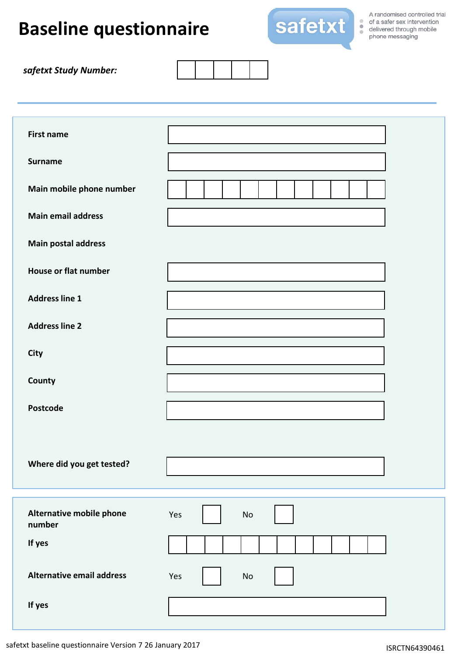## **Baseline questionnaire**



A randomised controlled trial of a safer sex intervention<br>delivered through mobile of a safer sex intervention phone messaging

| safetxt Study Number: |  |
|-----------------------|--|
|-----------------------|--|

| <b>First name</b><br><b>Surname</b> |                      |
|-------------------------------------|----------------------|
| Main mobile phone number            |                      |
| <b>Main email address</b>           |                      |
| <b>Main postal address</b>          |                      |
| <b>House or flat number</b>         |                      |
| <b>Address line 1</b>               |                      |
| <b>Address line 2</b>               |                      |
| <b>City</b>                         |                      |
| County                              |                      |
| Postcode                            |                      |
| Where did you get tested?           |                      |
| Alternative mobile phone<br>number  | Yes<br>No            |
| If yes                              |                      |
| <b>Alternative email address</b>    | Yes<br>$\mathsf{No}$ |
| If yes                              |                      |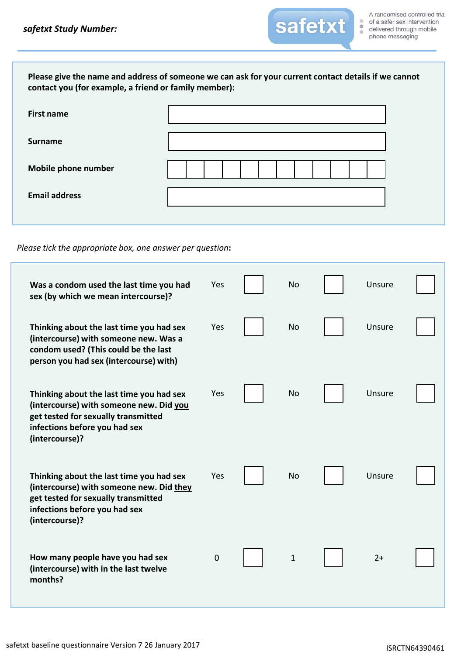| contact you (for example, a friend or family member): | Please give the name and address of someone we can ask for your current contact details if we cannot |
|-------------------------------------------------------|------------------------------------------------------------------------------------------------------|
| <b>First name</b>                                     |                                                                                                      |
| <b>Surname</b>                                        |                                                                                                      |
| Mobile phone number                                   |                                                                                                      |
| <b>Email address</b>                                  |                                                                                                      |
|                                                       |                                                                                                      |

*Please tick the appropriate box, one answer per question***:**

| Was a condom used the last time you had<br>sex (by which we mean intercourse)?                                                                                                 | Yes       | <b>No</b>   | Unsure |  |
|--------------------------------------------------------------------------------------------------------------------------------------------------------------------------------|-----------|-------------|--------|--|
| Thinking about the last time you had sex<br>(intercourse) with someone new. Was a<br>condom used? (This could be the last<br>person you had sex (intercourse) with)            | Yes       | <b>No</b>   | Unsure |  |
| Thinking about the last time you had sex<br>(intercourse) with someone new. Did you<br>get tested for sexually transmitted<br>infections before you had sex<br>(intercourse)?  | Yes       | <b>No</b>   | Unsure |  |
| Thinking about the last time you had sex<br>(intercourse) with someone new. Did they<br>get tested for sexually transmitted<br>infections before you had sex<br>(intercourse)? | Yes       | <b>No</b>   | Unsure |  |
| How many people have you had sex<br>(intercourse) with in the last twelve<br>months?                                                                                           | $\pmb{0}$ | $\mathbf 1$ | $2+$   |  |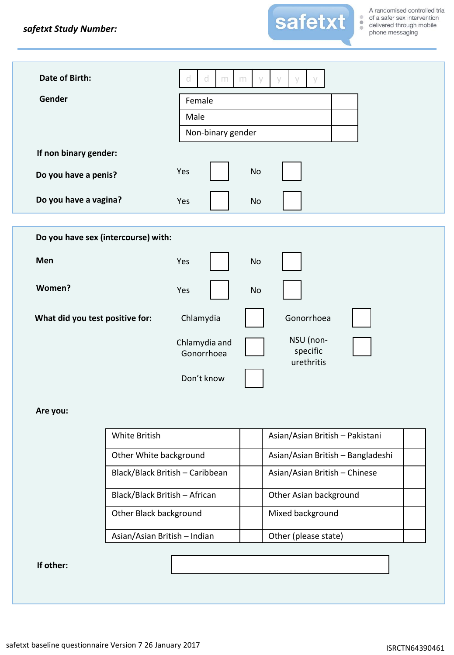

| Date of Birth:                      | d.<br>d<br>m                | $\vee$<br>m | $\vee$                              |  |
|-------------------------------------|-----------------------------|-------------|-------------------------------------|--|
| Gender                              | Female                      |             |                                     |  |
|                                     | Male                        |             |                                     |  |
|                                     | Non-binary gender           |             |                                     |  |
| If non binary gender:               |                             |             |                                     |  |
| Do you have a penis?                | Yes                         | <b>No</b>   |                                     |  |
| Do you have a vagina?               | Yes                         | <b>No</b>   |                                     |  |
|                                     |                             |             |                                     |  |
| Do you have sex (intercourse) with: |                             |             |                                     |  |
| Men                                 | Yes                         | <b>No</b>   |                                     |  |
| Women?                              | Yes                         | <b>No</b>   |                                     |  |
| What did you test positive for:     | Chlamydia                   |             | Gonorrhoea                          |  |
|                                     | Chlamydia and<br>Gonorrhoea |             | NSU (non-<br>specific<br>urethritis |  |
|                                     | Don't know                  |             |                                     |  |

## **Are you:**

| White British                   | Asian/Asian British - Pakistani   |
|---------------------------------|-----------------------------------|
| Other White background          | Asian/Asian British - Bangladeshi |
| Black/Black British - Caribbean | Asian/Asian British - Chinese     |
| Black/Black British - African   | Other Asian background            |
| Other Black background          | Mixed background                  |
| Asian/Asian British - Indian    | Other (please state)              |

## **If other:**